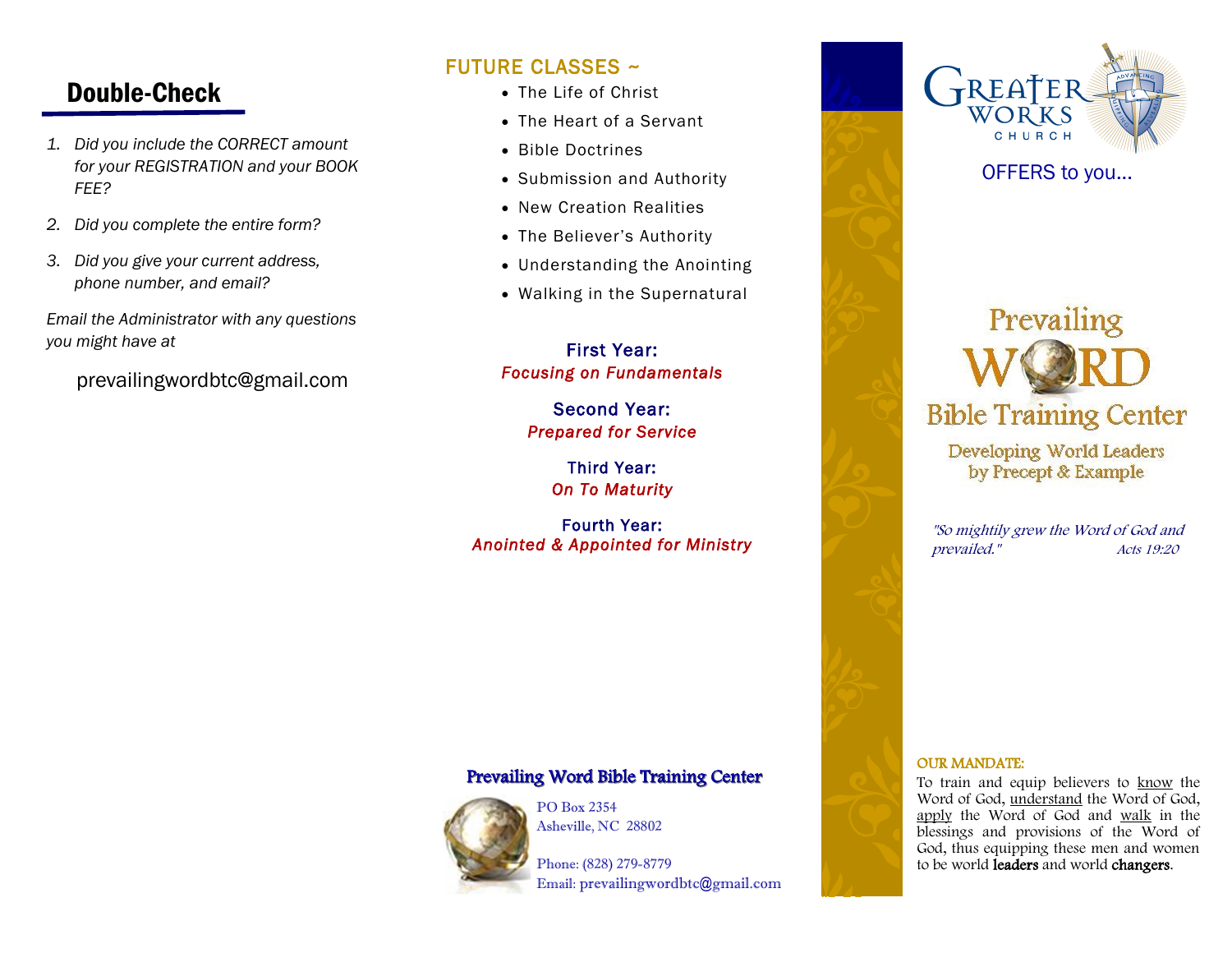## Double-Check

- *1. Did you include the CORRECT amount for your REGISTRATION and your BOOK FEE?*
- *2. Did you complete the entire form?*
- *3. Did you give your current address, phone number, and email?*

*Email the Administrator with any questions you might have at*

prevailingwordbtc@gmail.com

## FUTURE CLASSES ~

- The Life of Christ
- The Heart of a Servant
- Bible Doctrines
- Submission and Authority
- New Creation Realities
- The Believer's Authority
- Understanding the Anointing
- Walking in the Supernatural

## First Year: *Focusing on Fundamentals*

Second Year: *Prepared for Service* 

> Third Year: *On To Maturity*

Fourth Year: *Anointed & Appointed for Ministry* 

## Prevailing Word Bible Training Center



PO Box 2354 Asheville, NC 28802

Phone: (828) 279-8779 Email: prevailingwordbtc@gmail.com



## OFFERS to you...

# Prevailing **Bible Training Center Developing World Leaders** by Precept & Example

"So mightily grew the Word of God and prevailed." Acts 19:20

#### OUR MANDATE:

To train and equip believers to know the Word of God, understand the Word of God, apply the Word of God and walk in the blessings and provisions of the Word of God, thus equipping these men and women to be world leaders and world changers.